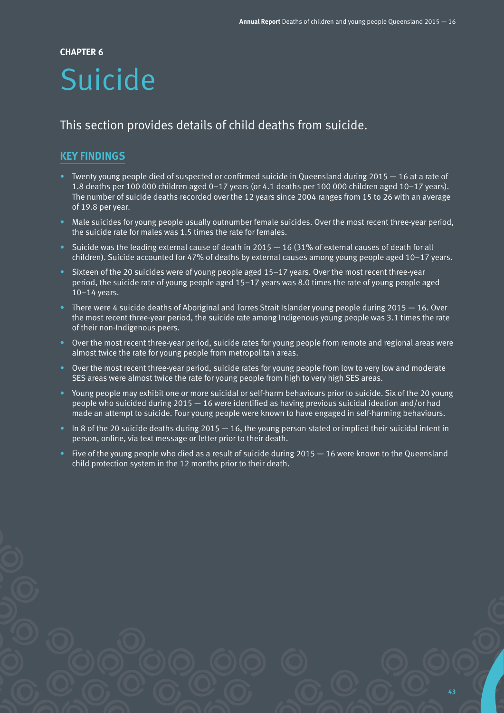#### **CHAPTER 6**

# Suicide

# This section provides details of child deaths from suicide.

# **KEY FINDINGS**

- Twenty young people died of suspected or confirmed suicide in Queensland during 2015 16 at a rate of 1.8 deaths per 100 000 children aged 0–17 years (or 4.1 deaths per 100 000 children aged 10–17 years). The number of suicide deaths recorded over the 12 years since 2004 ranges from 15 to 26 with an average of 19.8 per year.
- Male suicides for young people usually outnumber female suicides. Over the most recent three-year period, the suicide rate for males was 1.5 times the rate for females.
- Suicide was the leading external cause of death in 2015  $-16$  (31% of external causes of death for all children). Suicide accounted for 47% of deaths by external causes among young people aged 10–17 years.
- Sixteen of the 20 suicides were of young people aged 15–17 years. Over the most recent three-year period, the suicide rate of young people aged 15–17 years was 8.0 times the rate of young people aged 10–14 years.
- There were 4 suicide deaths of Aboriginal and Torres Strait Islander young people during 2015 16. Over the most recent three-year period, the suicide rate among Indigenous young people was 3.1 times the rate of their non-Indigenous peers.
- Over the most recent three-year period, suicide rates for young people from remote and regional areas were almost twice the rate for young people from metropolitan areas.
- Over the most recent three-year period, suicide rates for young people from low to very low and moderate SES areas were almost twice the rate for young people from high to very high SES areas.
- Young people may exhibit one or more suicidal or self-harm behaviours prior to suicide. Six of the 20 young people who suicided during 2015 — 16 were identified as having previous suicidal ideation and/or had made an attempt to suicide. Four young people were known to have engaged in self-harming behaviours.
- In 8 of the 20 suicide deaths during 2015 16, the young person stated or implied their suicidal intent in person, online, via text message or letter prior to their death.
- Five of the young people who died as a result of suicide during 2015  $-$  16 were known to the Queensland child protection system in the 12 months prior to their death.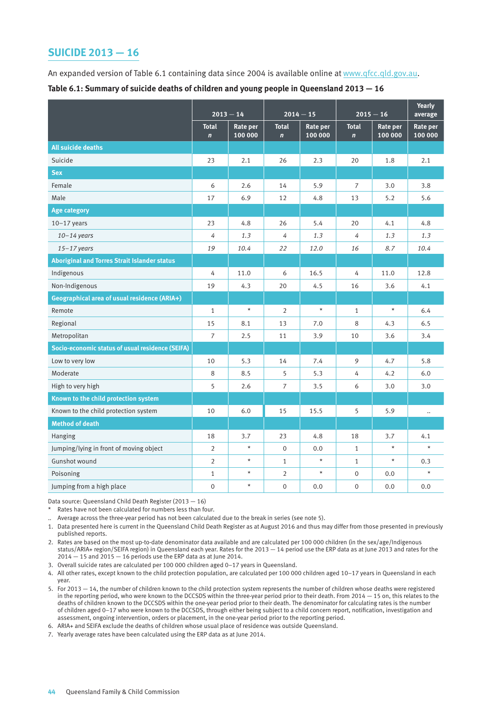## **SUICIDE 2013 — 16**

An expanded version of Table 6.1 containing data since 2004 is available online at [www.qfcc.qld.gov.au](http://www.qfcc.qld.gov.au).

|                                                     | $2013 - 14$                 |                     | $2014 - 15$                  |                            | $2015 - 16$                 |                            | <b>Yearly</b><br>average |
|-----------------------------------------------------|-----------------------------|---------------------|------------------------------|----------------------------|-----------------------------|----------------------------|--------------------------|
|                                                     | <b>Total</b><br>$\mathbf n$ | Rate per<br>100 000 | <b>Total</b><br>$\mathbf{n}$ | <b>Rate per</b><br>100 000 | <b>Total</b><br>$\mathbf n$ | <b>Rate per</b><br>100 000 | Rate per<br>100 000      |
| All suicide deaths                                  |                             |                     |                              |                            |                             |                            |                          |
| Suicide                                             | 23                          | 2.1                 | 26                           | 2.3                        | 20                          | 1.8                        | 2.1                      |
| <b>Sex</b>                                          |                             |                     |                              |                            |                             |                            |                          |
| Female                                              | 6                           | 2.6                 | 14                           | 5.9                        | $\overline{7}$              | 3.0                        | 3.8                      |
| Male                                                | 17                          | 6.9                 | 12                           | 4.8                        | 13                          | 5.2                        | 5.6                      |
| <b>Age category</b>                                 |                             |                     |                              |                            |                             |                            |                          |
| $10-17$ years                                       | 23                          | 4.8                 | 26                           | 5.4                        | 20                          | 4.1                        | 4.8                      |
| $10 - 14$ years                                     | 4                           | 1.3                 | 4                            | 1.3                        | 4                           | 1.3                        | 1.3                      |
| $15 - 17$ years                                     | 19                          | 10.4                | 22                           | 12.0                       | 16                          | 8.7                        | 10.4                     |
| <b>Aboriginal and Torres Strait Islander status</b> |                             |                     |                              |                            |                             |                            |                          |
| Indigenous                                          | 4                           | 11.0                | 6                            | 16.5                       | 4                           | 11.0                       | 12.8                     |
| Non-Indigenous                                      | 19                          | 4.3                 | 20                           | 4.5                        | 16                          | 3.6                        | 4.1                      |
| Geographical area of usual residence (ARIA+)        |                             |                     |                              |                            |                             |                            |                          |
| Remote                                              | $\mathbf{1}$                | $\star$             | 2                            | $\star$                    | $\mathbf{1}$                | $\star$                    | 6.4                      |
| Regional                                            | 15                          | 8.1                 | 13                           | 7.0                        | 8                           | 4.3                        | 6.5                      |
| Metropolitan                                        | $\overline{7}$              | 2.5                 | 11                           | 3.9                        | 10                          | 3.6                        | 3.4                      |
| Socio-economic status of usual residence (SEIFA)    |                             |                     |                              |                            |                             |                            |                          |
| Low to very low                                     | 10                          | 5.3                 | 14                           | 7.4                        | 9                           | 4.7                        | 5.8                      |
| Moderate                                            | 8                           | 8.5                 | 5                            | 5.3                        | 4                           | 4.2                        | 6.0                      |
| High to very high                                   | 5                           | 2.6                 | $\overline{7}$               | 3.5                        | 6                           | 3.0                        | 3.0                      |
| Known to the child protection system                |                             |                     |                              |                            |                             |                            |                          |
| Known to the child protection system                | 10                          | 6.0                 | 15                           | 15.5                       | 5                           | 5.9                        | $\ddotsc$                |
| <b>Method of death</b>                              |                             |                     |                              |                            |                             |                            |                          |
| <b>Hanging</b>                                      | 18                          | 3.7                 | 23                           | 4.8                        | 18                          | 3.7                        | 4.1                      |
| Jumping/lying in front of moving object             | $\overline{2}$              | $\star$             | $\boldsymbol{0}$             | 0.0                        | $\mathbf{1}$                | $\star$                    | $\star$                  |
| Gunshot wound                                       | $\overline{2}$              | $\star$             | $\mathbf{1}$                 | $\star$                    | $\mathbf{1}$                | $\star$                    | 0.3                      |
| Poisoning                                           | $\mathbf{1}$                | $\star$             | $\overline{2}$               | $\star$                    | $\boldsymbol{0}$            | $0.0\,$                    | $^\star$                 |
| Jumping from a high place                           | $\overline{0}$              | $\star$             | $\mathbf 0$                  | 0.0                        | $\mathbf 0$                 | 0.0                        | 0.0                      |

Data source: Queensland Child Death Register (2013 — 16)

- Rates have not been calculated for numbers less than four.
- .. Average across the three-year period has not been calculated due to the break in series (see note 5).
- 1. Data presented here is current in the Queensland Child Death Register as at August 2016 and thus may differ from those presented in previously published reports.
- 2. Rates are based on the most up-to-date denominator data available and are calculated per 100 000 children (in the sex/age/Indigenous status/ARIA+ region/SEIFA region) in Queensland each year. Rates for the 2013 — 14 period use the ERP data as at June 2013 and rates for the  $2014 - 15$  and  $2015 - 16$  periods use the ERP data as at June 2014.
- 3. Overall suicide rates are calculated per 100 000 children aged 0–17 years in Queensland.
- 4. All other rates, except known to the child protection population, are calculated per 100 000 children aged 10–17 years in Queensland in each year.
- 5. For 2013 14, the number of children known to the child protection system represents the number of children whose deaths were registered in the reporting period, who were known to the DCCSDS within the three-year period prior to their death. From 2014 — 15 on, this relates to the deaths of children known to the DCCSDS within the one-year period prior to their death. The denominator for calculating rates is the number of children aged 0–17 who were known to the DCCSDS, through either being subject to a child concern report, notification, investigation and assessment, ongoing intervention, orders or placement, in the one-year period prior to the reporting period.
- 6. ARIA+ and SEIFA exclude the deaths of children whose usual place of residence was outside Queensland.
- 7. Yearly average rates have been calculated using the ERP data as at June 2014.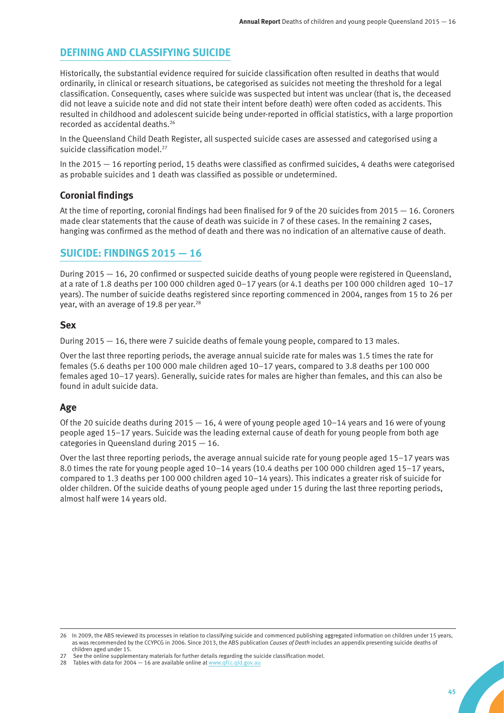# **DEFINING AND CLASSIFYING SUICIDE**

Historically, the substantial evidence required for suicide classification often resulted in deaths that would ordinarily, in clinical or research situations, be categorised as suicides not meeting the threshold for a legal classification. Consequently, cases where suicide was suspected but intent was unclear (that is, the deceased did not leave a suicide note and did not state their intent before death) were often coded as accidents. This resulted in childhood and adolescent suicide being under-reported in official statistics, with a large proportion recorded as accidental deaths.26

In the Queensland Child Death Register, all suspected suicide cases are assessed and categorised using a suicide classification model.<sup>27</sup>

In the 2015 — 16 reporting period, 15 deaths were classified as confirmed suicides, 4 deaths were categorised as probable suicides and 1 death was classified as possible or undetermined.

### **Coronial findings**

At the time of reporting, coronial findings had been finalised for 9 of the 20 suicides from 2015 — 16. Coroners made clear statements that the cause of death was suicide in 7 of these cases. In the remaining 2 cases, hanging was confirmed as the method of death and there was no indication of an alternative cause of death.

# **SUICIDE: FINDINGS 2015 — 16**

During 2015 — 16, 20 confirmed or suspected suicide deaths of young people were registered in Queensland, at a rate of 1.8 deaths per 100 000 children aged 0–17 years (or 4.1 deaths per 100 000 children aged 10–17 years). The number of suicide deaths registered since reporting commenced in 2004, ranges from 15 to 26 per year, with an average of 19.8 per year.<sup>28</sup>

#### **Sex**

During 2015 — 16, there were 7 suicide deaths of female young people, compared to 13 males.

Over the last three reporting periods, the average annual suicide rate for males was 1.5 times the rate for females (5.6 deaths per 100 000 male children aged 10–17 years, compared to 3.8 deaths per 100 000 females aged 10–17 years). Generally, suicide rates for males are higher than females, and this can also be found in adult suicide data.

# **Age**

Of the 20 suicide deaths during  $2015 - 16$ , 4 were of young people aged  $10-14$  years and 16 were of young people aged 15–17 years. Suicide was the leading external cause of death for young people from both age categories in Queensland during 2015 — 16.

Over the last three reporting periods, the average annual suicide rate for young people aged 15–17 years was 8.0 times the rate for young people aged 10–14 years (10.4 deaths per 100 000 children aged 15–17 years, compared to 1.3 deaths per 100 000 children aged 10–14 years). This indicates a greater risk of suicide for older children. Of the suicide deaths of young people aged under 15 during the last three reporting periods, almost half were 14 years old.

28 Tables with data for 2004  $-$  16 are available online at www.qfcc.qld

<sup>26</sup> In 2009, the ABS reviewed its processes in relation to classifying suicide and commenced publishing aggregated information on children under 15 years, as was recommended by the CCYPCG in 2006. Since 2013, the ABS publication *Causes of Death* includes an appendix presenting suicide deaths of children aged under 15.

See the online supplementary materials for further details regarding the suicide classification model.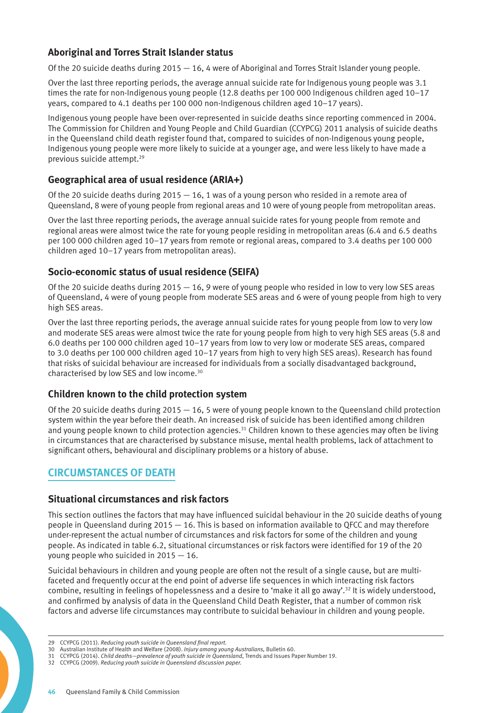# **Aboriginal and Torres Strait Islander status**

Of the 20 suicide deaths during 2015 — 16, 4 were of Aboriginal and Torres Strait Islander young people.

Over the last three reporting periods, the average annual suicide rate for Indigenous young people was 3.1 times the rate for non-Indigenous young people (12.8 deaths per 100 000 Indigenous children aged 10–17 years, compared to 4.1 deaths per 100 000 non-Indigenous children aged 10–17 years).

Indigenous young people have been over-represented in suicide deaths since reporting commenced in 2004. The Commission for Children and Young People and Child Guardian (CCYPCG) 2011 analysis of suicide deaths in the Queensland child death register found that, compared to suicides of non-Indigenous young people, Indigenous young people were more likely to suicide at a younger age, and were less likely to have made a previous suicide attempt.29

### **Geographical area of usual residence (ARIA+)**

Of the 20 suicide deaths during  $2015 - 16$ , 1 was of a young person who resided in a remote area of Queensland, 8 were of young people from regional areas and 10 were of young people from metropolitan areas.

Over the last three reporting periods, the average annual suicide rates for young people from remote and regional areas were almost twice the rate for young people residing in metropolitan areas (6.4 and 6.5 deaths per 100 000 children aged 10–17 years from remote or regional areas, compared to 3.4 deaths per 100 000 children aged 10–17 years from metropolitan areas).

### **Socio-economic status of usual residence (SEIFA)**

Of the 20 suicide deaths during  $2015 - 16$ , 9 were of young people who resided in low to very low SES areas of Queensland, 4 were of young people from moderate SES areas and 6 were of young people from high to very high SES areas.

Over the last three reporting periods, the average annual suicide rates for young people from low to very low and moderate SES areas were almost twice the rate for young people from high to very high SES areas (5.8 and 6.0 deaths per 100 000 children aged 10–17 years from low to very low or moderate SES areas, compared to 3.0 deaths per 100 000 children aged 10–17 years from high to very high SES areas). Research has found that risks of suicidal behaviour are increased for individuals from a socially disadvantaged background, characterised by low SES and low income.30

#### **Children known to the child protection system**

Of the 20 suicide deaths during  $2015 - 16$ , 5 were of young people known to the Queensland child protection system within the year before their death. An increased risk of suicide has been identified among children and young people known to child protection agencies.<sup>31</sup> Children known to these agencies may often be living in circumstances that are characterised by substance misuse, mental health problems, lack of attachment to significant others, behavioural and disciplinary problems or a history of abuse.

# **CIRCUMSTANCES OF DEATH**

#### **Situational circumstances and risk factors**

This section outlines the factors that may have influenced suicidal behaviour in the 20 suicide deaths of young people in Queensland during 2015 — 16. This is based on information available to QFCC and may therefore under-represent the actual number of circumstances and risk factors for some of the children and young people. As indicated in table 6.2, situational circumstances or risk factors were identified for 19 of the 20 young people who suicided in 2015 — 16.

Suicidal behaviours in children and young people are often not the result of a single cause, but are multifaceted and frequently occur at the end point of adverse life sequences in which interacting risk factors combine, resulting in feelings of hopelessness and a desire to 'make it all go away'.<sup>32</sup> It is widely understood, and confirmed by analysis of data in the Queensland Child Death Register, that a number of common risk factors and adverse life circumstances may contribute to suicidal behaviour in children and young people.

<sup>29</sup> CCYPCG (2011). *Reducing youth suicide in Queensland final report.*

<sup>30</sup> Australian Institute of Health and Welfare (2008). *Injury among young Australians,* Bulletin 60.

<sup>31</sup> CCYPCG (2014). *Child deaths—prevalence of youth suicide in Queensland*, Trends and Issues Paper Number 19.

<sup>32</sup> CCYPCG (2009). *Reducing youth suicide in Queensland discussion paper.*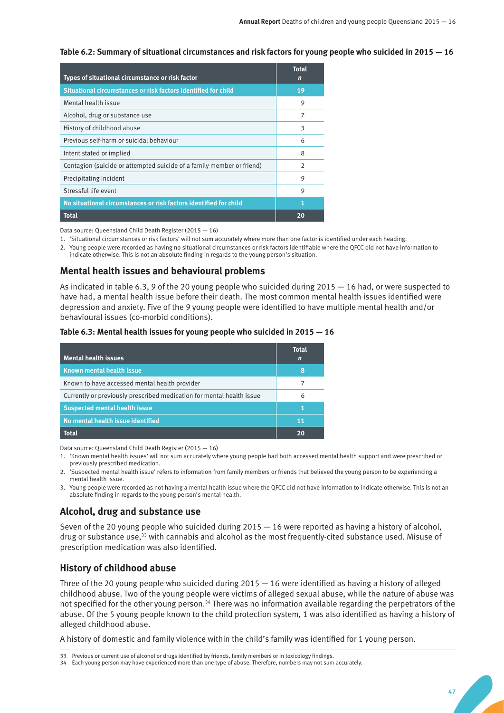**Table 6.2: Summary of situational circumstances and risk factors for young people who suicided in 2015 — 16**

| Types of situational circumstance or risk factor                      | <b>Total</b><br>n |
|-----------------------------------------------------------------------|-------------------|
| Situational circumstances or risk factors identified for child        | 19                |
| Mental health issue                                                   | 9                 |
| Alcohol, drug or substance use                                        | 7                 |
| History of childhood abuse                                            | 3                 |
| Previous self-harm or suicidal behaviour                              | 6                 |
| Intent stated or implied                                              | 8                 |
| Contagion (suicide or attempted suicide of a family member or friend) | $\mathcal{P}$     |
| Precipitating incident                                                | 9                 |
| Stressful life event                                                  | 9                 |
| No situational circumstances or risk factors identified for child     | 1                 |
| <b>Total</b>                                                          | 20                |

Data source: Queensland Child Death Register (2015 — 16)

1. 'Situational circumstances or risk factors' will not sum accurately where more than one factor is identified under each heading.

2. Young people were recorded as having no situational circumstances or risk factors identifiable where the QFCC did not have information to indicate otherwise. This is not an absolute finding in regards to the young person's situation.

# **Mental health issues and behavioural problems**

As indicated in table 6.3, 9 of the 20 young people who suicided during 2015 — 16 had, or were suspected to have had, a mental health issue before their death. The most common mental health issues identified were depression and anxiety. Five of the 9 young people were identified to have multiple mental health and/or behavioural issues (co-morbid conditions).

|  | Table 6.3: Mental health issues for young people who suicided in 2015 - 16 |
|--|----------------------------------------------------------------------------|
|--|----------------------------------------------------------------------------|

| <b>Mental health issues</b>                                           | <b>Total</b><br>n |
|-----------------------------------------------------------------------|-------------------|
| <b>Known mental health issue</b>                                      | 8                 |
| Known to have accessed mental health provider                         | 7                 |
| Currently or previously prescribed medication for mental health issue | 6                 |
| <b>Suspected mental health issue</b>                                  | 1                 |
| No mental health issue identified                                     | 11                |
| <b>Total</b>                                                          |                   |

Data source: Queensland Child Death Register (2015 — 16)

- 1. 'Known mental health issues' will not sum accurately where young people had both accessed mental health support and were prescribed or previously prescribed medication.
- 2. 'Suspected mental health issue' refers to information from family members or friends that believed the young person to be experiencing a mental health issue.
- 3. Young people were recorded as not having a mental health issue where the QFCC did not have information to indicate otherwise. This is not an absolute finding in regards to the young person's mental health.

# **Alcohol, drug and substance use**

Seven of the 20 young people who suicided during  $2015 - 16$  were reported as having a history of alcohol, drug or substance use,<sup>33</sup> with cannabis and alcohol as the most frequently-cited substance used. Misuse of prescription medication was also identified.

# **History of childhood abuse**

Three of the 20 young people who suicided during 2015 — 16 were identified as having a history of alleged childhood abuse. Two of the young people were victims of alleged sexual abuse, while the nature of abuse was not specified for the other young person.<sup>34</sup> There was no information available regarding the perpetrators of the abuse. Of the 5 young people known to the child protection system, 1 was also identified as having a history of alleged childhood abuse.

A history of domestic and family violence within the child's family was identified for 1 young person.

<sup>33</sup> Previous or current use of alcohol or drugs identified by friends, family members or in toxicology findings.

<sup>34</sup> Each young person may have experienced more than one type of abuse. Therefore, numbers may not sum accurately.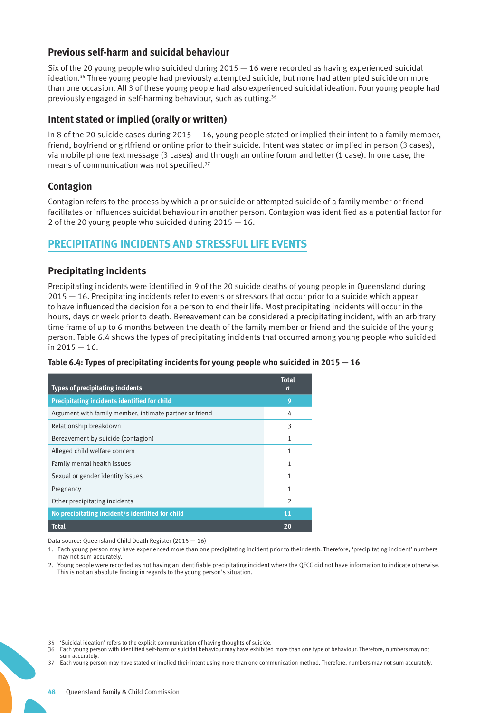#### **Previous self-harm and suicidal behaviour**

Six of the 20 young people who suicided during  $2015 - 16$  were recorded as having experienced suicidal ideation.35 Three young people had previously attempted suicide, but none had attempted suicide on more than one occasion. All 3 of these young people had also experienced suicidal ideation. Four young people had previously engaged in self-harming behaviour, such as cutting.36

#### **Intent stated or implied (orally or written)**

In 8 of the 20 suicide cases during  $2015 - 16$ , young people stated or implied their intent to a family member, friend, boyfriend or girlfriend or online prior to their suicide. Intent was stated or implied in person (3 cases), via mobile phone text message (3 cases) and through an online forum and letter (1 case). In one case, the means of communication was not specified.37

# **Contagion**

Contagion refers to the process by which a prior suicide or attempted suicide of a family member or friend facilitates or influences suicidal behaviour in another person. Contagion was identified as a potential factor for 2 of the 20 young people who suicided during 2015 — 16.

# **PRECIPITATING INCIDENTS AND STRESSFUL LIFE EVENTS**

### **Precipitating incidents**

Precipitating incidents were identified in 9 of the 20 suicide deaths of young people in Queensland during 2015 — 16. Precipitating incidents refer to events or stressors that occur prior to a suicide which appear to have influenced the decision for a person to end their life. Most precipitating incidents will occur in the hours, days or week prior to death. Bereavement can be considered a precipitating incident, with an arbitrary time frame of up to 6 months between the death of the family member or friend and the suicide of the young person. Table 6.4 shows the types of precipitating incidents that occurred among young people who suicided in 2015 — 16.

#### **Table 6.4: Types of precipitating incidents for young people who suicided in 2015 — 16**

| <b>Types of precipitating incidents</b>                 | <b>Total</b><br>$\mathbf n$ |
|---------------------------------------------------------|-----------------------------|
| <b>Precipitating incidents identified for child</b>     | 9                           |
| Argument with family member, intimate partner or friend | 4                           |
| Relationship breakdown                                  | 3                           |
| Bereavement by suicide (contagion)                      | 1                           |
| Alleged child welfare concern                           | 1                           |
| Family mental health issues                             | 1                           |
| Sexual or gender identity issues                        | 1                           |
| Pregnancy                                               | 1                           |
| Other precipitating incidents                           | $\mathfrak{D}$              |
| No precipitating incident/s identified for child        | 11                          |
| <b>Total</b>                                            | 20                          |

Data source: Queensland Child Death Register (2015 — 16)

1. Each young person may have experienced more than one precipitating incident prior to their death. Therefore, 'precipitating incident' numbers may not sum accurately.

2. Young people were recorded as not having an identifiable precipitating incident where the QFCC did not have information to indicate otherwise. This is not an absolute finding in regards to the young person's situation.

<sup>35</sup> 'Suicidal ideation' refers to the explicit communication of having thoughts of suicide.

<sup>36</sup> Each young person with identified self-harm or suicidal behaviour may have exhibited more than one type of behaviour. Therefore, numbers may not sum accurately.

<sup>37</sup> Each young person may have stated or implied their intent using more than one communication method. Therefore, numbers may not sum accurately.